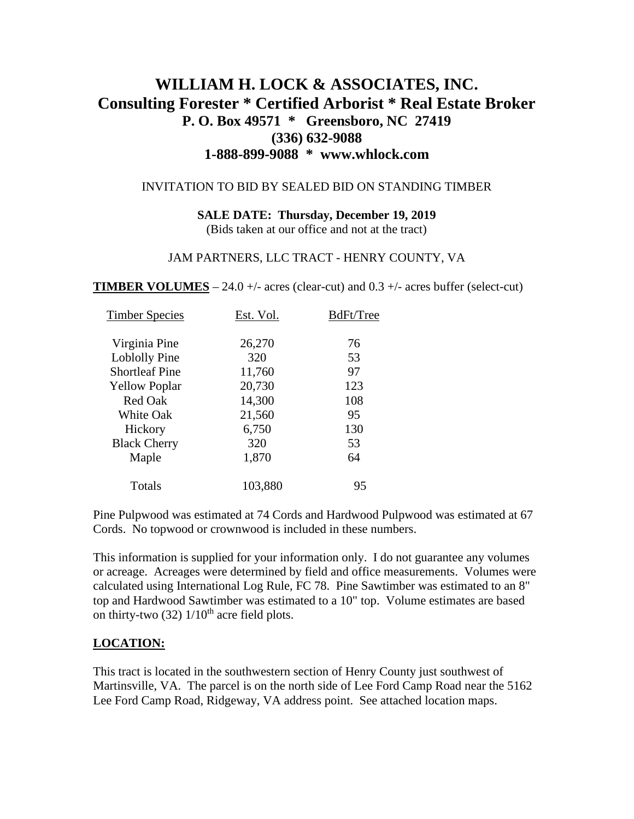# **WILLIAM H. LOCK & ASSOCIATES, INC. Consulting Forester \* Certified Arborist \* Real Estate Broker P. O. Box 49571 \* Greensboro, NC 27419 (336) 632-9088 1-888-899-9088 \* www.whlock.com**

#### INVITATION TO BID BY SEALED BID ON STANDING TIMBER

### **SALE DATE: Thursday, December 19, 2019**

(Bids taken at our office and not at the tract)

#### JAM PARTNERS, LLC TRACT - HENRY COUNTY, VA

**TIMBER VOLUMES** – 24.0 +/- acres (clear-cut) and  $0.3$  +/- acres buffer (select-cut)

| Est. Vol. | BdFt/Tree |
|-----------|-----------|
| 26,270    | 76        |
| 320       | 53        |
| 11,760    | 97        |
| 20,730    | 123       |
| 14,300    | 108       |
| 21,560    | 95        |
| 6,750     | 130       |
| 320       | 53        |
| 1,870     | 64        |
| 103,880   | 95        |
|           |           |

Pine Pulpwood was estimated at 74 Cords and Hardwood Pulpwood was estimated at 67 Cords. No topwood or crownwood is included in these numbers.

This information is supplied for your information only. I do not guarantee any volumes or acreage. Acreages were determined by field and office measurements. Volumes were calculated using International Log Rule, FC 78. Pine Sawtimber was estimated to an 8" top and Hardwood Sawtimber was estimated to a 10" top. Volume estimates are based on thirty-two  $(32)$   $1/10^{th}$  acre field plots.

### **LOCATION:**

This tract is located in the southwestern section of Henry County just southwest of Martinsville, VA. The parcel is on the north side of Lee Ford Camp Road near the 5162 Lee Ford Camp Road, Ridgeway, VA address point. See attached location maps.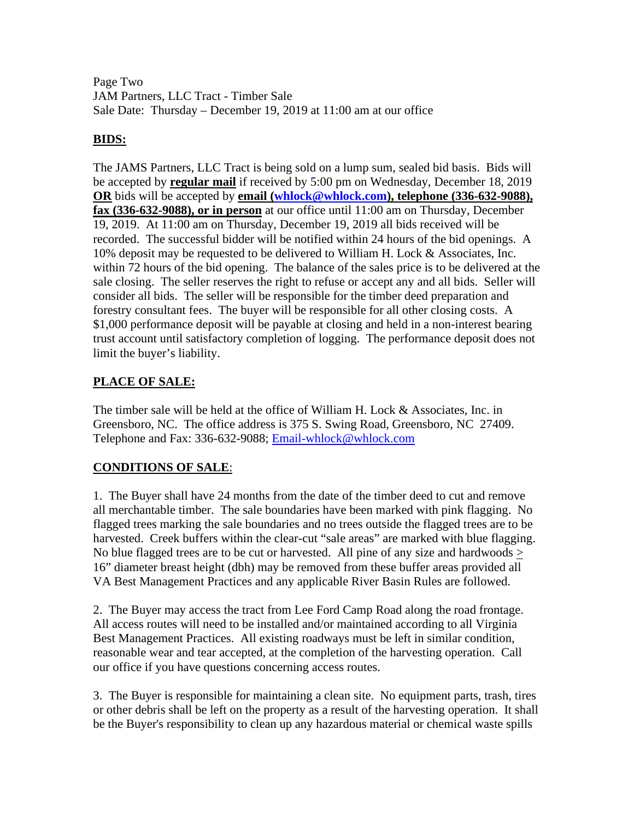Page Two JAM Partners, LLC Tract - Timber Sale Sale Date: Thursday – December 19, 2019 at 11:00 am at our office

### **BIDS:**

The JAMS Partners, LLC Tract is being sold on a lump sum, sealed bid basis. Bids will be accepted by **regular mail** if received by 5:00 pm on Wednesday, December 18, 2019 **OR** bids will be accepted by **email [\(whlock@whlock.com\)](mailto:whlock@whlock.com), telephone (336-632-9088), fax (336-632-9088), or in person** at our office until 11:00 am on Thursday, December 19, 2019. At 11:00 am on Thursday, December 19, 2019 all bids received will be recorded. The successful bidder will be notified within 24 hours of the bid openings. A 10% deposit may be requested to be delivered to William H. Lock & Associates, Inc. within 72 hours of the bid opening. The balance of the sales price is to be delivered at the sale closing. The seller reserves the right to refuse or accept any and all bids. Seller will consider all bids. The seller will be responsible for the timber deed preparation and forestry consultant fees. The buyer will be responsible for all other closing costs. A \$1,000 performance deposit will be payable at closing and held in a non-interest bearing trust account until satisfactory completion of logging. The performance deposit does not limit the buyer's liability.

# **PLACE OF SALE:**

The timber sale will be held at the office of William H. Lock & Associates, Inc. in Greensboro, NC. The office address is 375 S. Swing Road, Greensboro, NC 27409. Telephone and Fax: 336-632-9088; [Email-whlock@whlock.com](mailto:Email-whlock@whlock.com)

# **CONDITIONS OF SALE**:

1. The Buyer shall have 24 months from the date of the timber deed to cut and remove all merchantable timber. The sale boundaries have been marked with pink flagging. No flagged trees marking the sale boundaries and no trees outside the flagged trees are to be harvested. Creek buffers within the clear-cut "sale areas" are marked with blue flagging. No blue flagged trees are to be cut or harvested. All pine of any size and hardwoods > 16" diameter breast height (dbh) may be removed from these buffer areas provided all VA Best Management Practices and any applicable River Basin Rules are followed.

2. The Buyer may access the tract from Lee Ford Camp Road along the road frontage. All access routes will need to be installed and/or maintained according to all Virginia Best Management Practices. All existing roadways must be left in similar condition, reasonable wear and tear accepted, at the completion of the harvesting operation. Call our office if you have questions concerning access routes.

3. The Buyer is responsible for maintaining a clean site. No equipment parts, trash, tires or other debris shall be left on the property as a result of the harvesting operation. It shall be the Buyer's responsibility to clean up any hazardous material or chemical waste spills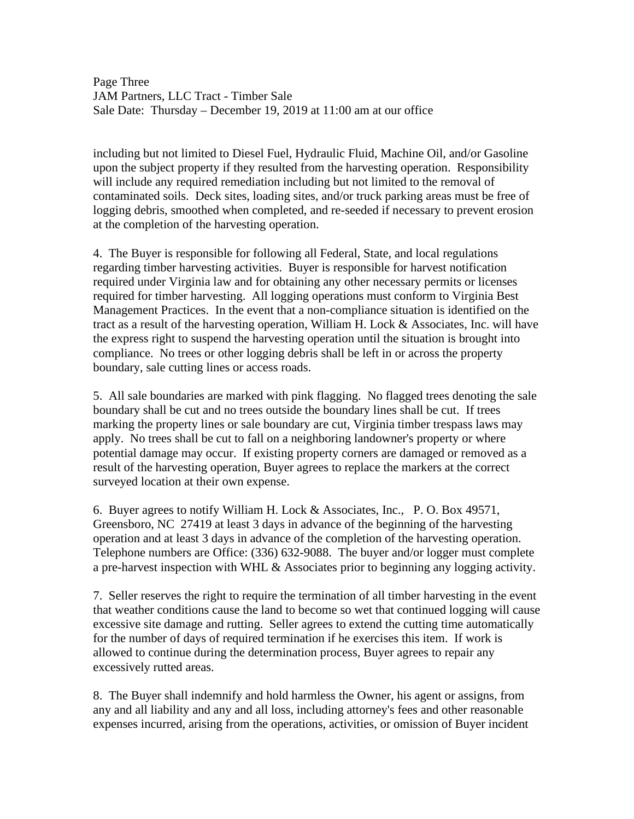Page Three JAM Partners, LLC Tract - Timber Sale Sale Date: Thursday – December 19, 2019 at 11:00 am at our office

including but not limited to Diesel Fuel, Hydraulic Fluid, Machine Oil, and/or Gasoline upon the subject property if they resulted from the harvesting operation. Responsibility will include any required remediation including but not limited to the removal of contaminated soils. Deck sites, loading sites, and/or truck parking areas must be free of logging debris, smoothed when completed, and re-seeded if necessary to prevent erosion at the completion of the harvesting operation.

4. The Buyer is responsible for following all Federal, State, and local regulations regarding timber harvesting activities. Buyer is responsible for harvest notification required under Virginia law and for obtaining any other necessary permits or licenses required for timber harvesting. All logging operations must conform to Virginia Best Management Practices. In the event that a non-compliance situation is identified on the tract as a result of the harvesting operation, William H. Lock & Associates, Inc. will have the express right to suspend the harvesting operation until the situation is brought into compliance. No trees or other logging debris shall be left in or across the property boundary, sale cutting lines or access roads.

5. All sale boundaries are marked with pink flagging. No flagged trees denoting the sale boundary shall be cut and no trees outside the boundary lines shall be cut. If trees marking the property lines or sale boundary are cut, Virginia timber trespass laws may apply. No trees shall be cut to fall on a neighboring landowner's property or where potential damage may occur. If existing property corners are damaged or removed as a result of the harvesting operation, Buyer agrees to replace the markers at the correct surveyed location at their own expense.

6. Buyer agrees to notify William H. Lock & Associates, Inc., P. O. Box 49571, Greensboro, NC 27419 at least 3 days in advance of the beginning of the harvesting operation and at least 3 days in advance of the completion of the harvesting operation. Telephone numbers are Office: (336) 632-9088. The buyer and/or logger must complete a pre-harvest inspection with WHL & Associates prior to beginning any logging activity.

7. Seller reserves the right to require the termination of all timber harvesting in the event that weather conditions cause the land to become so wet that continued logging will cause excessive site damage and rutting. Seller agrees to extend the cutting time automatically for the number of days of required termination if he exercises this item. If work is allowed to continue during the determination process, Buyer agrees to repair any excessively rutted areas.

8. The Buyer shall indemnify and hold harmless the Owner, his agent or assigns, from any and all liability and any and all loss, including attorney's fees and other reasonable expenses incurred, arising from the operations, activities, or omission of Buyer incident